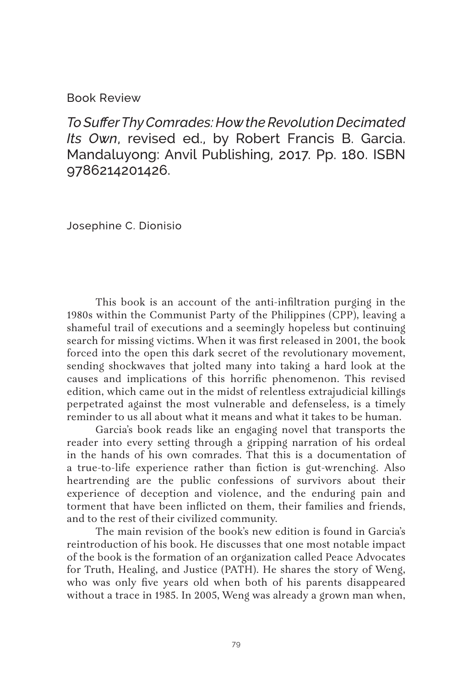## Book Review

*To Suffer Thy Comrades: How the Revolution Decimated Its Own*, revised ed., by Robert Francis B. Garcia. Mandaluyong: Anvil Publishing, 2017. Pp. 180. ISBN 9786214201426.

Josephine C. Dionisio

This book is an account of the anti-infiltration purging in the 1980s within the Communist Party of the Philippines (CPP), leaving a shameful trail of executions and a seemingly hopeless but continuing search for missing victims. When it was first released in 2001, the book forced into the open this dark secret of the revolutionary movement, sending shockwaves that jolted many into taking a hard look at the causes and implications of this horrific phenomenon. This revised edition, which came out in the midst of relentless extrajudicial killings perpetrated against the most vulnerable and defenseless, is a timely reminder to us all about what it means and what it takes to be human.

Garcia's book reads like an engaging novel that transports the reader into every setting through a gripping narration of his ordeal in the hands of his own comrades. That this is a documentation of a true-to-life experience rather than fiction is gut-wrenching. Also heartrending are the public confessions of survivors about their experience of deception and violence, and the enduring pain and torment that have been inflicted on them, their families and friends, and to the rest of their civilized community.

The main revision of the book's new edition is found in Garcia's reintroduction of his book. He discusses that one most notable impact of the book is the formation of an organization called Peace Advocates for Truth, Healing, and Justice (PATH). He shares the story of Weng, who was only five years old when both of his parents disappeared without a trace in 1985. In 2005, Weng was already a grown man when,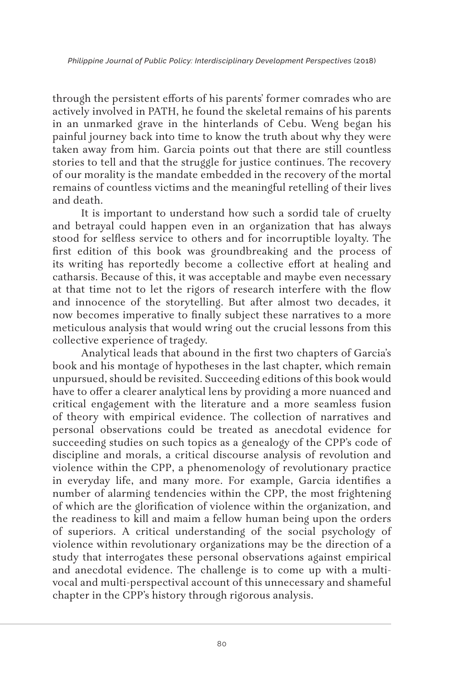through the persistent efforts of his parents' former comrades who are actively involved in PATH, he found the skeletal remains of his parents in an unmarked grave in the hinterlands of Cebu. Weng began his painful journey back into time to know the truth about why they were taken away from him. Garcia points out that there are still countless stories to tell and that the struggle for justice continues. The recovery of our morality is the mandate embedded in the recovery of the mortal remains of countless victims and the meaningful retelling of their lives and death.

It is important to understand how such a sordid tale of cruelty and betrayal could happen even in an organization that has always stood for selfless service to others and for incorruptible loyalty. The first edition of this book was groundbreaking and the process of its writing has reportedly become a collective effort at healing and catharsis. Because of this, it was acceptable and maybe even necessary at that time not to let the rigors of research interfere with the flow and innocence of the storytelling. But after almost two decades, it now becomes imperative to finally subject these narratives to a more meticulous analysis that would wring out the crucial lessons from this collective experience of tragedy.

Analytical leads that abound in the first two chapters of Garcia's book and his montage of hypotheses in the last chapter, which remain unpursued, should be revisited. Succeeding editions of this book would have to offer a clearer analytical lens by providing a more nuanced and critical engagement with the literature and a more seamless fusion of theory with empirical evidence. The collection of narratives and personal observations could be treated as anecdotal evidence for succeeding studies on such topics as a genealogy of the CPP's code of discipline and morals, a critical discourse analysis of revolution and violence within the CPP, a phenomenology of revolutionary practice in everyday life, and many more. For example, Garcia identifies a number of alarming tendencies within the CPP, the most frightening of which are the glorification of violence within the organization, and the readiness to kill and maim a fellow human being upon the orders of superiors. A critical understanding of the social psychology of violence within revolutionary organizations may be the direction of a study that interrogates these personal observations against empirical and anecdotal evidence. The challenge is to come up with a multivocal and multi-perspectival account of this unnecessary and shameful chapter in the CPP's history through rigorous analysis.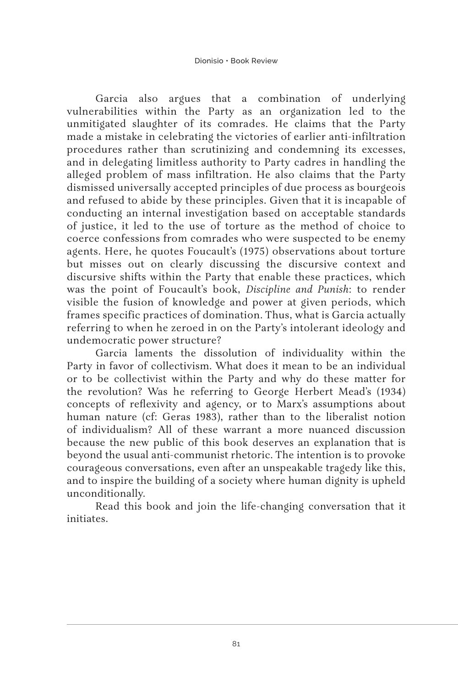Garcia also argues that a combination of underlying vulnerabilities within the Party as an organization led to the unmitigated slaughter of its comrades. He claims that the Party made a mistake in celebrating the victories of earlier anti-infiltration procedures rather than scrutinizing and condemning its excesses, and in delegating limitless authority to Party cadres in handling the alleged problem of mass infiltration. He also claims that the Party dismissed universally accepted principles of due process as bourgeois and refused to abide by these principles. Given that it is incapable of conducting an internal investigation based on acceptable standards of justice, it led to the use of torture as the method of choice to coerce confessions from comrades who were suspected to be enemy agents. Here, he quotes Foucault's (1975) observations about torture but misses out on clearly discussing the discursive context and discursive shifts within the Party that enable these practices, which was the point of Foucault's book, *Discipline and Punish*: to render visible the fusion of knowledge and power at given periods, which frames specific practices of domination. Thus, what is Garcia actually referring to when he zeroed in on the Party's intolerant ideology and undemocratic power structure?

Garcia laments the dissolution of individuality within the Party in favor of collectivism. What does it mean to be an individual or to be collectivist within the Party and why do these matter for the revolution? Was he referring to George Herbert Mead's (1934) concepts of reflexivity and agency, or to Marx's assumptions about human nature (cf: Geras 1983), rather than to the liberalist notion of individualism? All of these warrant a more nuanced discussion because the new public of this book deserves an explanation that is beyond the usual anti-communist rhetoric. The intention is to provoke courageous conversations, even after an unspeakable tragedy like this, and to inspire the building of a society where human dignity is upheld unconditionally.

Read this book and join the life-changing conversation that it initiates.